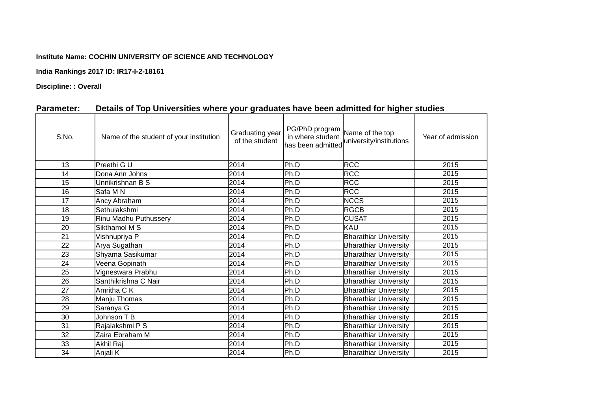## **Institute Name: COCHIN UNIVERSITY OF SCIENCE AND TECHNOLOGY**

**India Rankings 2017 ID: IR17-I-2-18161**

**Discipline: : Overall**

| S.No. | Name of the student of your institution | Graduating year<br>of the student | PG/PhD program<br>in where student<br>has been admitted | Name of the top<br>university/institutions | Year of admission |
|-------|-----------------------------------------|-----------------------------------|---------------------------------------------------------|--------------------------------------------|-------------------|
| 13    | lPreethi G U                            | 2014                              | Ph.D                                                    | <b>RCC</b>                                 | 2015              |
| 14    | Dona Ann Johns                          | 2014                              | Ph.D                                                    | <b>RCC</b>                                 | 2015              |
| 15    | Unnikrishnan B S                        | 2014                              | Ph.D                                                    | <b>RCC</b>                                 | 2015              |
| 16    | Safa M N                                | 2014                              | Ph.D                                                    | <b>RCC</b>                                 | 2015              |
| 17    | Ancy Abraham                            | 2014                              | Ph.D                                                    | <b>NCCS</b>                                | 2015              |
| 18    | lSethulakshmi                           | 2014                              | <b>Ph.D</b>                                             | <b>RGCB</b>                                | 2015              |
| 19    | Rinu Madhu Puthussery                   | 2014                              | Ph.D                                                    | <b>CUSAT</b>                               | 2015              |
| 20    | Sikthamol M S                           | 2014                              | Ph.D                                                    | KAU                                        | 2015              |
| 21    | Vishnupriya P                           | 2014                              | Ph.D                                                    | <b>Bharathiar University</b>               | 2015              |
| 22    | Arya Sugathan                           | 2014                              | Ph.D                                                    | <b>Bharathiar University</b>               | 2015              |
| 23    | Shyama Sasikumar                        | 2014                              | Ph.D                                                    | <b>Bharathiar University</b>               | 2015              |
| 24    | Veena Gopinath                          | 2014                              | Ph.D                                                    | <b>Bharathiar University</b>               | 2015              |
| 25    | Vigneswara Prabhu                       | 2014                              | Ph.D                                                    | <b>Bharathiar University</b>               | 2015              |
| 26    | Santhikrishna C Nair                    | 2014                              | Ph.D                                                    | <b>Bharathiar University</b>               | 2015              |
| 27    | Amritha C K                             | 2014                              | Ph.D                                                    | <b>Bharathiar University</b>               | 2015              |
| 28    | Manju Thomas                            | 2014                              | Ph.D                                                    | <b>Bharathiar University</b>               | 2015              |
| 29    | Saranya G                               | 2014                              | Ph.D                                                    | <b>Bharathiar University</b>               | 2015              |
| 30    | Johnson T B                             | 2014                              | Ph.D                                                    | <b>Bharathiar University</b>               | 2015              |
| 31    | Rajalakshmi P S                         | 2014                              | Ph.D                                                    | <b>Bharathiar University</b>               | 2015              |
| 32    | Zaira Ebraham M                         | 2014                              | Ph.D                                                    | <b>Bharathiar University</b>               | 2015              |
| 33    | Akhil Raj                               | 2014                              | Ph.D                                                    | <b>Bharathiar University</b>               | 2015              |
| 34    | Anjali K                                | 2014                              | Ph.D                                                    | <b>Bharathiar University</b>               | 2015              |

## **Parameter: Details of Top Universities where your graduates have been admitted for higher studies**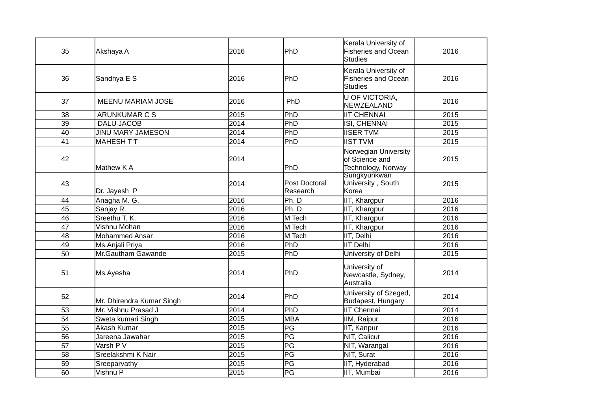| 35 | Akshaya A                 | 2016 | <b>PhD</b>                | Kerala University of<br><b>Fisheries and Ocean</b><br>Studies | 2016 |
|----|---------------------------|------|---------------------------|---------------------------------------------------------------|------|
| 36 | Sandhya E S               | 2016 | PhD                       | Kerala University of<br><b>Fisheries and Ocean</b><br>Studies | 2016 |
| 37 | <b>MEENU MARIAM JOSE</b>  | 2016 | PhD                       | U OF VICTORIA,<br>NEWZEALAND                                  | 2016 |
| 38 | <b>ARUNKUMAR C S</b>      | 2015 | PhD                       | <b>IIT CHENNAI</b>                                            | 2015 |
| 39 | <b>DALU JACOB</b>         | 2014 | PhD                       | ISI, CHENNAI                                                  | 2015 |
| 40 | <b>JINU MARY JAMESON</b>  | 2014 | PhD                       | <b>IISER TVM</b>                                              | 2015 |
| 41 | MAHESH T T                | 2014 | PhD                       | <b>IIST TVM</b>                                               | 2015 |
| 42 | Mathew K A                | 2014 | PhD                       | Norwegian University<br>of Science and<br>Technology, Norway  | 2015 |
| 43 | Dr. Jayesh P              | 2014 | Post Doctoral<br>Research | Sungkyunkwan<br>University, South<br>Korea                    | 2015 |
| 44 | Anagha M. G.              | 2016 | Ph. D                     | IIT, Khargpur                                                 | 2016 |
| 45 | Sanjay R.                 | 2016 | Ph. D                     | IIT, Khargpur                                                 | 2016 |
| 46 | Sreethu T. K.             | 2016 | M Tech                    | IIT, Khargpur                                                 | 2016 |
| 47 | Vishnu Mohan              | 2016 | M Tech                    | IIT, Khargpur                                                 | 2016 |
| 48 | <b>Mohammed Ansar</b>     | 2016 | M Tech                    | IIT, Delhi                                                    | 2016 |
| 49 | Ms.Anjali Priya           | 2016 | PhD                       | IIT Delhi                                                     | 2016 |
| 50 | Mr.Gautham Gawande        | 2015 | PhD                       | University of Delhi                                           | 2015 |
| 51 | Ms.Ayesha                 | 2014 | PhD                       | University of<br>Newcastle, Sydney,<br>Australia              | 2014 |
| 52 | Mr. Dhirendra Kumar Singh | 2014 | PhD                       | University of Szeged,<br>Budapest, Hungary                    | 2014 |
| 53 | Mr. Vishnu Prasad J       | 2014 | PhD                       | IIT Chennai                                                   | 2014 |
| 54 | Sweta kumari Singh        | 2015 | <b>MBA</b>                | IIM, Raipur                                                   | 2016 |
| 55 | <b>Akash Kumar</b>        | 2015 | PG                        | IIT, Kanpur                                                   | 2016 |
| 56 | Jareena Jawahar           | 2015 | PG                        | NIT, Calicut                                                  | 2016 |
| 57 | Varsh P V                 | 2015 | $\overline{\mathsf{PG}}$  | NIT, Warangal                                                 | 2016 |
| 58 | Sreelakshmi K Nair        | 2015 | PG                        | NIT, Surat                                                    | 2016 |
| 59 | Sreeparvathy              | 2015 | PG                        | IIT, Hyderabad                                                | 2016 |
| 60 | Vishnu P                  | 2015 | PG                        | IIT, Mumbai                                                   | 2016 |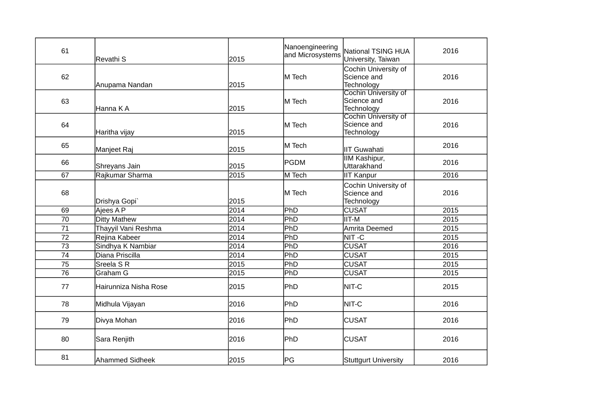| 61              | <b>Revathi S</b>      | 2015 | Nanoengineering<br>and Microsystems | <b>National TSING HUA</b><br>University, Taiwan          | 2016 |
|-----------------|-----------------------|------|-------------------------------------|----------------------------------------------------------|------|
| 62              | Anupama Nandan        | 2015 | M Tech                              | Cochin University of<br>Science and<br>Technology        | 2016 |
| 63              | lHanna K A            | 2015 | M Tech                              | Cochin University of<br>Science and<br>Technology        | 2016 |
| 64              | Haritha vijay         | 2015 | M Tech                              | <b>Cochin University of</b><br>Science and<br>Technology | 2016 |
| 65              | Manjeet Raj           | 2015 | M Tech                              | <b>IIT Guwahati</b>                                      | 2016 |
| 66              | Shreyans Jain         | 2015 | PGDM                                | <b>IIM Kashipur,</b><br>Uttarakhand                      | 2016 |
| 67              | Rajkumar Sharma       | 2015 | M Tech                              | <b>IIT Kanpur</b>                                        | 2016 |
| 68              | Drishya Gopi          | 2015 | M Tech                              | Cochin University of<br>Science and<br>Technology        | 2016 |
| 69              | Ajees A P             | 2014 | PhD                                 | <b>CUSAT</b>                                             | 2015 |
| 70              | Ditty Mathew          | 2014 | PhD                                 | IIT-M                                                    | 2015 |
| 71              | Thayyil Vani Reshma   | 2014 | PhD                                 | Amrita Deemed                                            | 2015 |
| 72              | Rejina Kabeer         | 2014 | PhD                                 | NIT-C                                                    | 2015 |
| 73              | Sindhya K Nambiar     | 2014 | PhD                                 | <b>CUSAT</b>                                             | 2016 |
| 74              | Diana Priscilla       | 2014 | PhD                                 | <b>CUSAT</b>                                             | 2015 |
| 75              | Sreela SR             | 2015 | PhD                                 | <b>CUSAT</b>                                             | 2015 |
| $\overline{76}$ | Graham G              | 2015 | PhD                                 | <b>CUSAT</b>                                             | 2015 |
| 77              | Hairunniza Nisha Rose | 2015 | <b>PhD</b>                          | NIT-C                                                    | 2015 |
| 78              | Midhula Vijayan       | 2016 | <b>PhD</b>                          | NIT-C                                                    | 2016 |
| 79              | Divya Mohan           | 2016 | <b>PhD</b>                          | <b>CUSAT</b>                                             | 2016 |
| 80              | Sara Renjith          | 2016 | PhD                                 | <b>CUSAT</b>                                             | 2016 |
| 81              | Ahammed Sidheek       | 2015 | PG                                  | <b>Stuttgurt University</b>                              | 2016 |